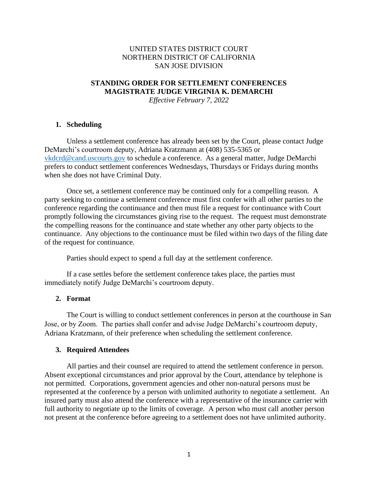# UNITED STATES DISTRICT COURT NORTHERN DISTRICT OF CALIFORNIA SAN JOSE DIVISION

# **STANDING ORDER FOR SETTLEMENT CONFERENCES MAGISTRATE JUDGE VIRGINIA K. DEMARCHI**

*Effective February 7, 2022*

#### **1. Scheduling**

Unless a settlement conference has already been set by the Court, please contact Judge DeMarchi's courtroom deputy, Adriana Kratzmann at (408) 535-5365 or vkdcrd@cand.uscourts.gov to schedule a conference. As a general matter, Judge DeMarchi prefers to conduct settlement conferences Wednesdays, Thursdays or Fridays during months when she does not have Criminal Duty.

Once set, a settlement conference may be continued only for a compelling reason. A party seeking to continue a settlement conference must first confer with all other parties to the conference regarding the continuance and then must file a request for continuance with Court promptly following the circumstances giving rise to the request. The request must demonstrate the compelling reasons for the continuance and state whether any other party objects to the continuance. Any objections to the continuance must be filed within two days of the filing date of the request for continuance.

Parties should expect to spend a full day at the settlement conference.

If a case settles before the settlement conference takes place, the parties must immediately notify Judge DeMarchi's courtroom deputy.

#### **2. Format**

The Court is willing to conduct settlement conferences in person at the courthouse in San Jose, or by Zoom. The parties shall confer and advise Judge DeMarchi's courtroom deputy, Adriana Kratzmann, of their preference when scheduling the settlement conference.

#### **3. Required Attendees**

All parties and their counsel are required to attend the settlement conference in person. Absent exceptional circumstances and prior approval by the Court, attendance by telephone is not permitted. Corporations, government agencies and other non-natural persons must be represented at the conference by a person with unlimited authority to negotiate a settlement. An insured party must also attend the conference with a representative of the insurance carrier with full authority to negotiate up to the limits of coverage. A person who must call another person not present at the conference before agreeing to a settlement does not have unlimited authority.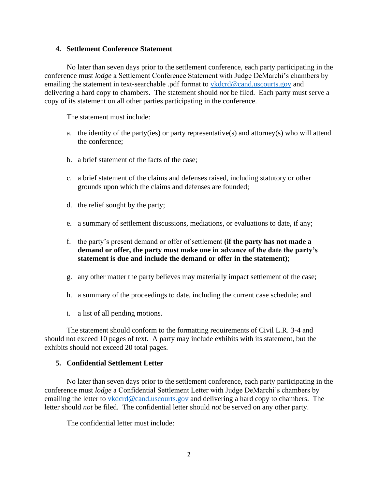### **4. Settlement Conference Statement**

No later than seven days prior to the settlement conference, each party participating in the conference must *lodge* a Settlement Conference Statement with Judge DeMarchi's chambers by emailing the statement in text-searchable .pdf format to vkdcrd@cand.uscourts.gov and delivering a hard copy to chambers. The statement should *not* be filed. Each party must serve a copy of its statement on all other parties participating in the conference.

The statement must include:

- a. the identity of the party(ies) or party representative(s) and attorney(s) who will attend the conference;
- b. a brief statement of the facts of the case;
- c. a brief statement of the claims and defenses raised, including statutory or other grounds upon which the claims and defenses are founded;
- d. the relief sought by the party;
- e. a summary of settlement discussions, mediations, or evaluations to date, if any;
- f. the party's present demand or offer of settlement **(if the party has not made a demand or offer, the party** *must* **make one in advance of the date the party's statement is due and include the demand or offer in the statement)**;
- g. any other matter the party believes may materially impact settlement of the case;
- h. a summary of the proceedings to date, including the current case schedule; and
- i. a list of all pending motions.

The statement should conform to the formatting requirements of Civil L.R. 3-4 and should not exceed 10 pages of text. A party may include exhibits with its statement, but the exhibits should not exceed 20 total pages.

## **5. Confidential Settlement Letter**

No later than seven days prior to the settlement conference, each party participating in the conference must *lodge* a Confidential Settlement Letter with Judge DeMarchi's chambers by emailing the letter to vkdcrd@cand.uscourts.gov and delivering a hard copy to chambers. The letter should *not* be filed. The confidential letter should *not* be served on any other party.

The confidential letter must include: